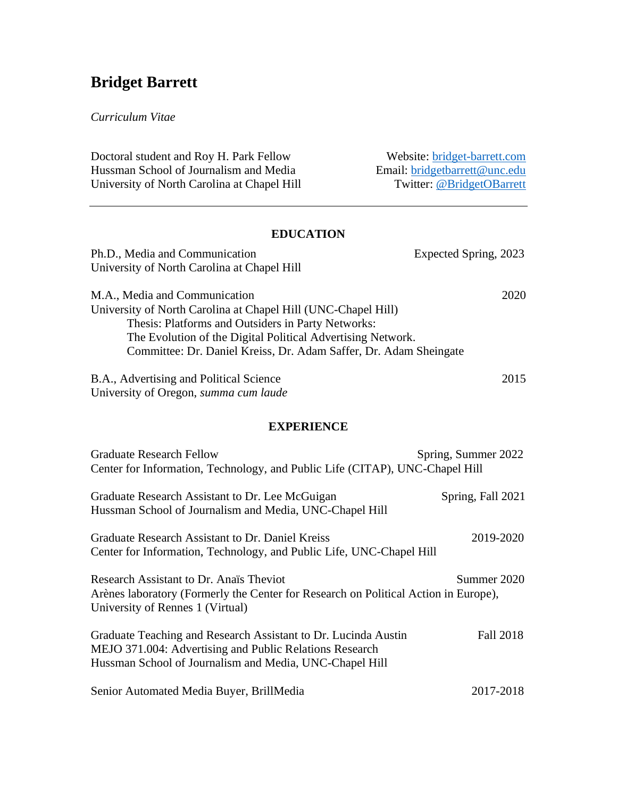# **Bridget Barrett**

### *Curriculum Vitae*

| Doctoral student and Roy H. Park Fellow     | Website: bridget-barrett.com  |
|---------------------------------------------|-------------------------------|
| Hussman School of Journalism and Media      | Email: bridgetbarrett@unc.edu |
| University of North Carolina at Chapel Hill | Twitter: @BridgetOBarrett     |

#### **EDUCATION**

| Ph.D., Media and Communication<br>University of North Carolina at Chapel Hill                                                                                                                                                                                                            | Expected Spring, 2023 |  |
|------------------------------------------------------------------------------------------------------------------------------------------------------------------------------------------------------------------------------------------------------------------------------------------|-----------------------|--|
| M.A., Media and Communication<br>University of North Carolina at Chapel Hill (UNC-Chapel Hill)<br>Thesis: Platforms and Outsiders in Party Networks:<br>The Evolution of the Digital Political Advertising Network.<br>Committee: Dr. Daniel Kreiss, Dr. Adam Saffer, Dr. Adam Sheingate | 2020                  |  |
| B.A., Advertising and Political Science<br>University of Oregon, summa cum laude                                                                                                                                                                                                         | 2015                  |  |
| <b>EXPERIENCE</b>                                                                                                                                                                                                                                                                        |                       |  |
| <b>Graduate Research Fellow</b><br>Center for Information, Technology, and Public Life (CITAP), UNC-Chapel Hill                                                                                                                                                                          | Spring, Summer 2022   |  |
| Graduate Research Assistant to Dr. Lee McGuigan<br>Hussman School of Journalism and Media, UNC-Chapel Hill                                                                                                                                                                               | Spring, Fall 2021     |  |
| Graduate Research Assistant to Dr. Daniel Kreiss<br>Center for Information, Technology, and Public Life, UNC-Chapel Hill                                                                                                                                                                 | 2019-2020             |  |
| Research Assistant to Dr. Anaïs Theviot<br>Arènes laboratory (Formerly the Center for Research on Political Action in Europe),<br>University of Rennes 1 (Virtual)                                                                                                                       | Summer 2020           |  |
| Graduate Teaching and Research Assistant to Dr. Lucinda Austin                                                                                                                                                                                                                           | $F_211.2018$          |  |

Graduate Teaching and Research Assistant to Dr. Lucinda Austin Fall 2018 MEJO 371.004: Advertising and Public Relations Research Hussman School of Journalism and Media, UNC-Chapel Hill

Senior Automated Media Buyer, BrillMedia 2017-2018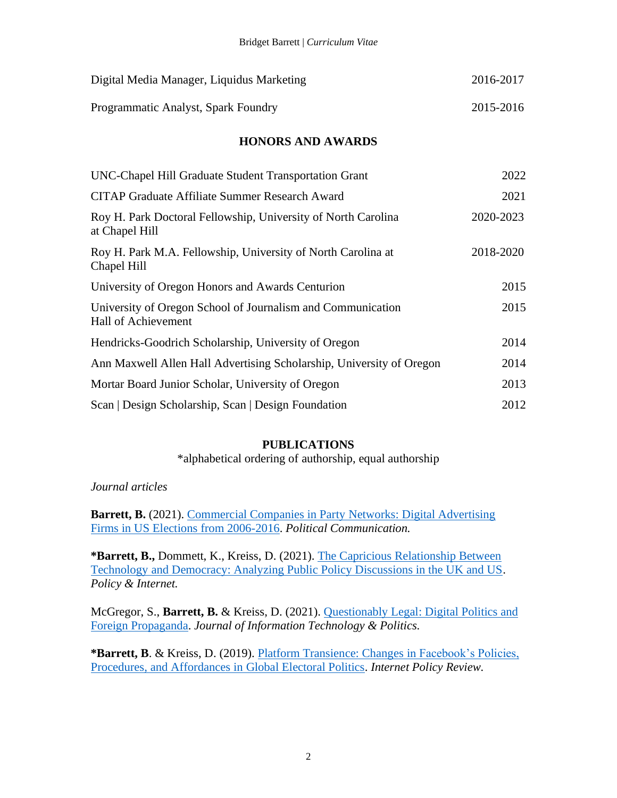| Digital Media Manager, Liquidus Marketing | 2016-2017 |
|-------------------------------------------|-----------|
| Programmatic Analyst, Spark Foundry       | 2015-2016 |

### **HONORS AND AWARDS**

| UNC-Chapel Hill Graduate Student Transportation Grant                              | 2022      |
|------------------------------------------------------------------------------------|-----------|
| <b>CITAP Graduate Affiliate Summer Research Award</b>                              | 2021      |
| Roy H. Park Doctoral Fellowship, University of North Carolina<br>at Chapel Hill    | 2020-2023 |
| Roy H. Park M.A. Fellowship, University of North Carolina at<br>Chapel Hill        | 2018-2020 |
| University of Oregon Honors and Awards Centurion                                   | 2015      |
| University of Oregon School of Journalism and Communication<br>Hall of Achievement | 2015      |
| Hendricks-Goodrich Scholarship, University of Oregon                               | 2014      |
| Ann Maxwell Allen Hall Advertising Scholarship, University of Oregon               | 2014      |
| Mortar Board Junior Scholar, University of Oregon                                  | 2013      |
| Scan   Design Scholarship, Scan   Design Foundation                                | 2012      |

#### **PUBLICATIONS**

\*alphabetical ordering of authorship, equal authorship

*Journal articles*

**Barrett, B.** (2021). Commercial Companies in Party Networks: Digital Advertising [Firms in US Elections from 2006-2016.](https://doi.org/10.1080/10584609.2021.1978021) *Political Communication.*

**\*Barrett, B.,** Dommett, K., Kreiss, D. (2021). [The Capricious Relationship Between](https://doi.org/10.1002/poi3.266)  [Technology and Democracy: Analyzing Public Policy Discussions in the UK and US.](https://doi.org/10.1002/poi3.266) *Policy & Internet.* 

McGregor, S., **Barrett, B.** & Kreiss, D. (2021). [Questionably Legal: Digital Politics and](https://www.tandfonline.com/doi/full/10.1080/19331681.2021.1902894)  [Foreign Propaganda.](https://www.tandfonline.com/doi/full/10.1080/19331681.2021.1902894) *Journal of Information Technology & Politics.*

**\*Barrett, B**. & Kreiss, D. (2019). [Platform Transience: Changes in Facebook's Policies,](https://policyreview.info/articles/analysis/platform-transience-changes-facebooks-policies-procedures-and-affordances-global)  [Procedures, and Affordances in Global Electoral Politics.](https://policyreview.info/articles/analysis/platform-transience-changes-facebooks-policies-procedures-and-affordances-global) *Internet Policy Review.*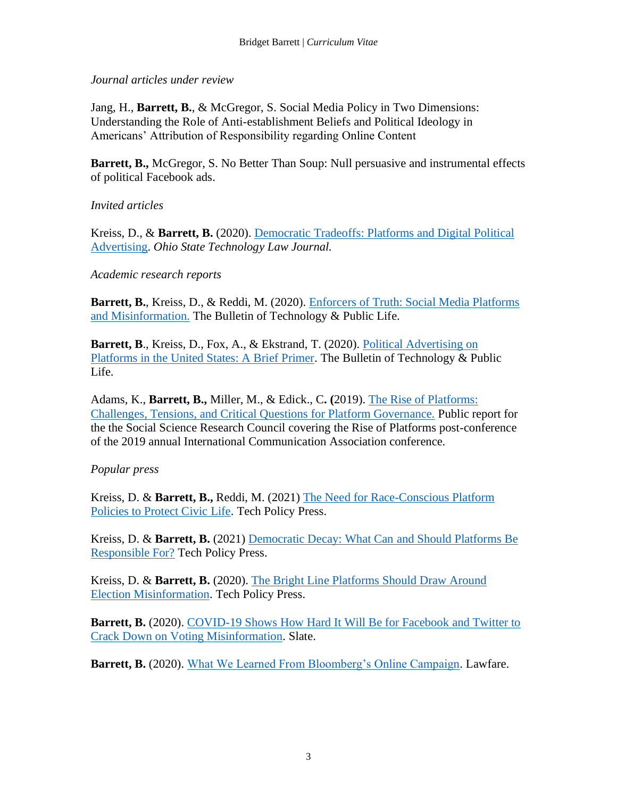*Journal articles under review*

Jang, H., **Barrett, B.**, & McGregor, S. Social Media Policy in Two Dimensions: Understanding the Role of Anti-establishment Beliefs and Political Ideology in Americans' Attribution of Responsibility regarding Online Content

**Barrett, B., McGregor, S. No Better Than Soup: Null persuasive and instrumental effects** of political Facebook ads.

*Invited articles*

Kreiss, D., & **Barrett, B.** (2020). [Democratic Tradeoffs: Platforms and Digital Political](https://moritzlaw.osu.edu/ostlj/2020/08/11/democratic-tradeoffs-platforms-and-digital-political-advertising)  [Advertising.](https://moritzlaw.osu.edu/ostlj/2020/08/11/democratic-tradeoffs-platforms-and-digital-political-advertising) *Ohio State Technology Law Journal.*

*Academic research reports*

**Barrett, B.**, Kreiss, D., & Reddi, M. (2020). [Enforcers of Truth: Social Media Platforms](https://citap.pubpub.org/pub/696n4r53/release/1)  [and Misinformation.](https://citap.pubpub.org/pub/696n4r53/release/1) The Bulletin of Technology & Public Life.

**Barrett, B**., Kreiss, D., Fox, A., & Ekstrand, T. (2020). [Political Advertising on](https://citap.pubpub.org/pub/zfzjkbgz/release/1)  [Platforms in the United States: A Brief Primer.](https://citap.pubpub.org/pub/zfzjkbgz/release/1) The Bulletin of Technology & Public Life.

Adams, K., **Barrett, B.,** Miller, M., & Edick., C**. (**2019). [The Rise of Platforms:](https://www.ssrc.org/publications/view/the-rise-of-platforms-challenges-tensions-and-critical-questions-for-platform-governance/)  [Challenges, Tensions, and Critical Questions for Platform Governance.](https://www.ssrc.org/publications/view/the-rise-of-platforms-challenges-tensions-and-critical-questions-for-platform-governance/) Public report for the the Social Science Research Council covering the Rise of Platforms post-conference of the 2019 annual International Communication Association conference.

# *Popular press*

Kreiss, D. & **Barrett, B.,** Reddi, M. (2021) [The Need for Race-Conscious Platform](https://techpolicy.press/the-need-for-race-conscious-platform-policies-to-protect-civic-life/)  [Policies to Protect Civic Life.](https://techpolicy.press/the-need-for-race-conscious-platform-policies-to-protect-civic-life/) Tech Policy Press.

Kreiss, D. & **Barrett, B.** (2021) [Democratic Decay: What Can and Should Platforms Be](https://techpolicy.press/democratic-decay-what-can-and-should-platforms-be-responsible-for/)  [Responsible For?](https://techpolicy.press/democratic-decay-what-can-and-should-platforms-be-responsible-for/) Tech Policy Press.

Kreiss, D. & **Barrett, B.** (2020). [The Bright Line Platforms Should Draw Around](https://protegopress.com/the-bright-line-platforms-should-draw-around-election-misinformation/)  [Election Misinformation.](https://protegopress.com/the-bright-line-platforms-should-draw-around-election-misinformation/) Tech Policy Press.

**Barrett, B.** (2020). COVID-19 Shows How Hard It Will Be for Facebook and Twitter to [Crack Down on Voting Misinformation.](https://slate.com/technology/2020/05/twitter-facebook-trump-election-misinformation-coronavirus.html) Slate.

**Barrett, B.** (2020). [What We Learned From Bloomberg's Online Campaign.](https://www.lawfareblog.com/what-we-learned-bloombergs-online-campaign) Lawfare.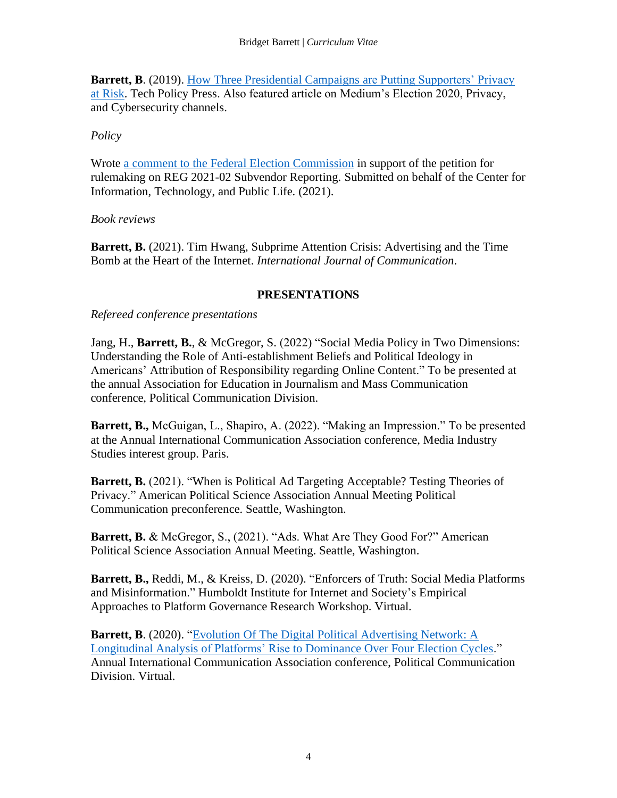**Barrett, B.** (2019). How Three Presidential Campaigns are Putting Supporters' Privacy [at Risk.](https://protegopress.com/how-three-presidential-campaigns-are-putting-supporters-privacy-at-risk/) Tech Policy Press. Also featured article on Medium's Election 2020, Privacy, and Cybersecurity channels.

# *Policy*

Wrote [a comment to the Federal Election Commission](https://citap.unc.edu/wp-content/uploads/sites/20665/2021/09/CITAP-comment-on-REG-2021-02-Subvendor-Reporting-Petition.pdf) in support of the petition for rulemaking on REG 2021-02 Subvendor Reporting. Submitted on behalf of the Center for Information, Technology, and Public Life. (2021).

*Book reviews*

**Barrett, B.** (2021). Tim Hwang, Subprime Attention Crisis: Advertising and the Time Bomb at the Heart of the Internet. *International Journal of Communication*.

## **PRESENTATIONS**

*Refereed conference presentations*

Jang, H., **Barrett, B.**, & McGregor, S. (2022) "Social Media Policy in Two Dimensions: Understanding the Role of Anti-establishment Beliefs and Political Ideology in Americans' Attribution of Responsibility regarding Online Content." To be presented at the annual Association for Education in Journalism and Mass Communication conference, Political Communication Division.

**Barrett, B.,** McGuigan, L., Shapiro, A. (2022). "Making an Impression." To be presented at the Annual International Communication Association conference, Media Industry Studies interest group. Paris.

**Barrett, B.** (2021). "When is Political Ad Targeting Acceptable? Testing Theories of Privacy." American Political Science Association Annual Meeting Political Communication preconference. Seattle, Washington.

**Barrett, B.** & McGregor, S., (2021). "Ads. What Are They Good For?" American Political Science Association Annual Meeting. Seattle, Washington.

**Barrett, B.,** Reddi, M., & Kreiss, D. (2020). "Enforcers of Truth: Social Media Platforms and Misinformation." Humboldt Institute for Internet and Society's Empirical Approaches to Platform Governance Research Workshop. Virtual.

**Barrett, B.** (2020). "Evolution Of The Digital Political Advertising Network: A [Longitudinal Analysis of Platforms' Rise to Dominance Over Four Election Cycles.](https://player.vimeo.com/video/416978697/?autoplay=1)" Annual International Communication Association conference, Political Communication Division. Virtual.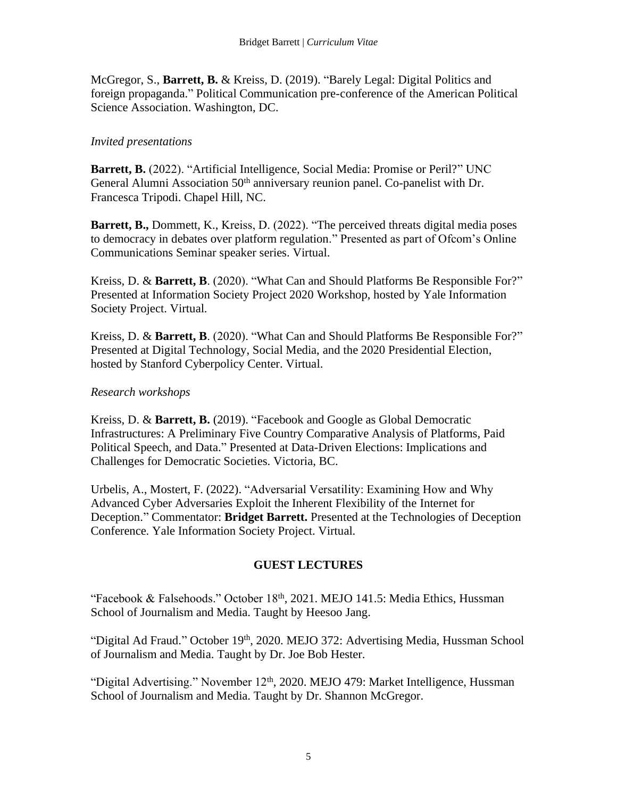McGregor, S., **Barrett, B.** & Kreiss, D. (2019). "Barely Legal: Digital Politics and foreign propaganda." Political Communication pre-conference of the American Political Science Association. Washington, DC.

## *Invited presentations*

**Barrett, B.** (2022). "Artificial Intelligence, Social Media: Promise or Peril?" UNC General Alumni Association 50<sup>th</sup> anniversary reunion panel. Co-panelist with Dr. Francesca Tripodi. Chapel Hill, NC.

**Barrett, B.,** Dommett, K., Kreiss, D. (2022). "The perceived threats digital media poses to democracy in debates over platform regulation." Presented as part of Ofcom's Online Communications Seminar speaker series. Virtual.

Kreiss, D. & **Barrett, B**. (2020). "What Can and Should Platforms Be Responsible For?" Presented at Information Society Project 2020 Workshop, hosted by Yale Information Society Project. Virtual.

Kreiss, D. & **Barrett, B**. (2020). "What Can and Should Platforms Be Responsible For?" Presented at Digital Technology, Social Media, and the 2020 Presidential Election, hosted by Stanford Cyberpolicy Center. Virtual.

# *Research workshops*

Kreiss, D. & **Barrett, B.** (2019). "Facebook and Google as Global Democratic Infrastructures: A Preliminary Five Country Comparative Analysis of Platforms, Paid Political Speech, and Data." Presented at Data-Driven Elections: Implications and Challenges for Democratic Societies. Victoria, BC.

Urbelis, A., Mostert, F. (2022). "Adversarial Versatility: Examining How and Why Advanced Cyber Adversaries Exploit the Inherent Flexibility of the Internet for Deception." Commentator: **Bridget Barrett.** Presented at the Technologies of Deception Conference. Yale Information Society Project. Virtual.

# **GUEST LECTURES**

"Facebook & Falsehoods." October 18<sup>th</sup>, 2021. MEJO 141.5: Media Ethics, Hussman School of Journalism and Media. Taught by Heesoo Jang.

"Digital Ad Fraud." October 19<sup>th</sup>, 2020. MEJO 372: Advertising Media, Hussman School of Journalism and Media. Taught by Dr. Joe Bob Hester.

"Digital Advertising." November 12<sup>th</sup>, 2020. MEJO 479: Market Intelligence, Hussman School of Journalism and Media. Taught by Dr. Shannon McGregor.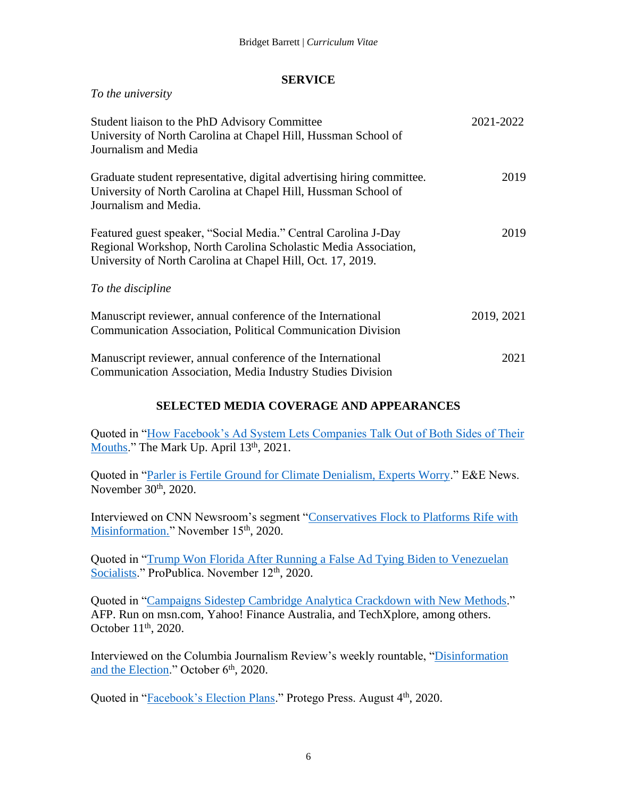### **SERVICE**

*To the university*

| Student liaison to the PhD Advisory Committee<br>University of North Carolina at Chapel Hill, Hussman School of<br>Journalism and Media                                                          | 2021-2022  |
|--------------------------------------------------------------------------------------------------------------------------------------------------------------------------------------------------|------------|
| Graduate student representative, digital advertising hiring committee.<br>University of North Carolina at Chapel Hill, Hussman School of<br>Journalism and Media.                                | 2019       |
| Featured guest speaker, "Social Media." Central Carolina J-Day<br>Regional Workshop, North Carolina Scholastic Media Association,<br>University of North Carolina at Chapel Hill, Oct. 17, 2019. | 2019       |
| To the discipline                                                                                                                                                                                |            |
| Manuscript reviewer, annual conference of the International<br><b>Communication Association, Political Communication Division</b>                                                                | 2019, 2021 |
| Manuscript reviewer, annual conference of the International<br><b>Communication Association, Media Industry Studies Division</b>                                                                 | 2021       |

# **SELECTED MEDIA COVERAGE AND APPEARANCES**

Quoted in ["How Facebook's Ad System Lets Companies Talk Out of Both Sides of Their](https://themarkup.org/news/2021/04/13/how-facebooks-ad-system-lets-companies-talk-out-of-both-sides-of-their-mouths)  [Mouths.](https://themarkup.org/news/2021/04/13/how-facebooks-ad-system-lets-companies-talk-out-of-both-sides-of-their-mouths)" The Mark Up. April 13<sup>th</sup>, 2021.

Quoted in ["Parler is Fertile Ground for Climate Denialism, Experts Worry.](https://www.eenews.net/climatewire/2020/11/30/stories/1063719415)" E&E News. November 30<sup>th</sup>, 2020.

Interviewed on CNN Newsroom's segment ["Conservatives Flock to Platforms Rife with](https://twitter.com/holmescnn/status/1327849761295257600)  [Misinformation."](https://twitter.com/holmescnn/status/1327849761295257600) November 15<sup>th</sup>, 2020.

Quoted in ["Trump Won Florida After Running a False Ad Tying Biden to Venezuelan](https://www.propublica.org/article/trump-won-florida-after-running-a-false-ad-tying-biden-to-venezuelan-socialists)  [Socialists.](https://www.propublica.org/article/trump-won-florida-after-running-a-false-ad-tying-biden-to-venezuelan-socialists)" ProPublica. November 12<sup>th</sup>, 2020.

Quoted in ["Campaigns Sidestep Cambridge Analytica Crackdown with New Methods.](https://www.msn.com/en-us/news/world/campaigns-sidestep-cambridge-analytica-crackdown-with-new-methods/ar-BB19TX2S)" AFP. Run on msn.com, Yahoo! Finance Australia, and TechXplore, among others. October 11<sup>th</sup>, 2020.

Interviewed on the Columbia Journalism Review's weekly rountable, ["Disinformation](https://galley.cjr.org/public/conversations/-MIzTiSqqVi_NJpZ2aFc)  [and the Election.](https://galley.cjr.org/public/conversations/-MIzTiSqqVi_NJpZ2aFc)" October 6<sup>th</sup>, 2020.

Quoted in ["Facebook's Election Plans.](https://protegopress.com/facebooks-election-plans/)" Protego Press. August 4<sup>th</sup>, 2020.